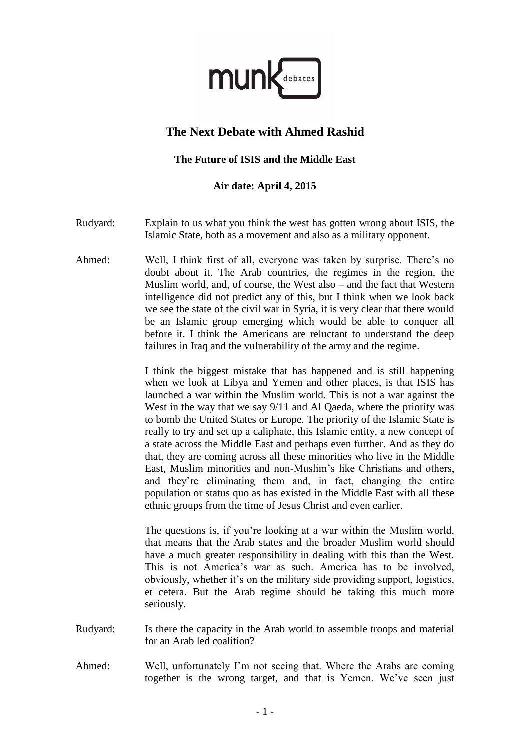

## **The Next Debate with Ahmed Rashid**

## **The Future of ISIS and the Middle East**

## **Air date: April 4, 2015**

- Rudyard: Explain to us what you think the west has gotten wrong about ISIS, the Islamic State, both as a movement and also as a military opponent.
- Ahmed: Well, I think first of all, everyone was taken by surprise. There's no doubt about it. The Arab countries, the regimes in the region, the Muslim world, and, of course, the West also – and the fact that Western intelligence did not predict any of this, but I think when we look back we see the state of the civil war in Syria, it is very clear that there would be an Islamic group emerging which would be able to conquer all before it. I think the Americans are reluctant to understand the deep failures in Iraq and the vulnerability of the army and the regime.

I think the biggest mistake that has happened and is still happening when we look at Libya and Yemen and other places, is that ISIS has launched a war within the Muslim world. This is not a war against the West in the way that we say 9/11 and Al Qaeda, where the priority was to bomb the United States or Europe. The priority of the Islamic State is really to try and set up a caliphate, this Islamic entity, a new concept of a state across the Middle East and perhaps even further. And as they do that, they are coming across all these minorities who live in the Middle East, Muslim minorities and non-Muslim's like Christians and others, and they're eliminating them and, in fact, changing the entire population or status quo as has existed in the Middle East with all these ethnic groups from the time of Jesus Christ and even earlier.

The questions is, if you're looking at a war within the Muslim world, that means that the Arab states and the broader Muslim world should have a much greater responsibility in dealing with this than the West. This is not America's war as such. America has to be involved, obviously, whether it's on the military side providing support, logistics, et cetera. But the Arab regime should be taking this much more seriously.

- Rudyard: Is there the capacity in the Arab world to assemble troops and material for an Arab led coalition?
- Ahmed: Well, unfortunately I'm not seeing that. Where the Arabs are coming together is the wrong target, and that is Yemen. We've seen just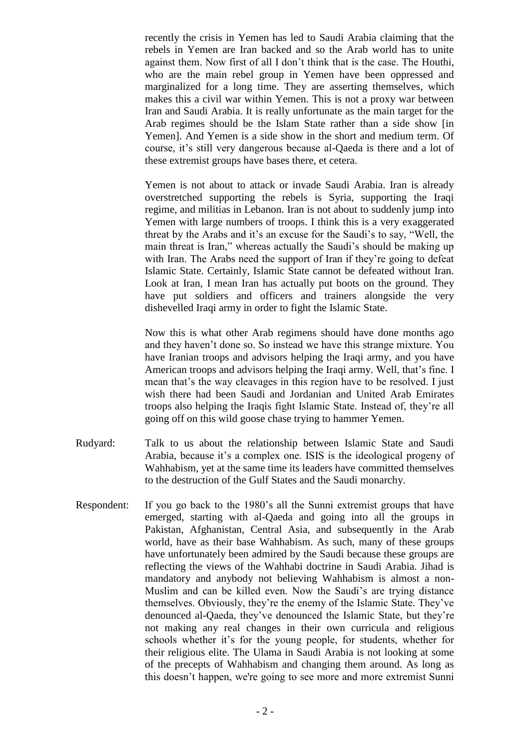recently the crisis in Yemen has led to Saudi Arabia claiming that the rebels in Yemen are Iran backed and so the Arab world has to unite against them. Now first of all I don't think that is the case. The Houthi, who are the main rebel group in Yemen have been oppressed and marginalized for a long time. They are asserting themselves, which makes this a civil war within Yemen. This is not a proxy war between Iran and Saudi Arabia. It is really unfortunate as the main target for the Arab regimes should be the Islam State rather than a side show [in Yemen]. And Yemen is a side show in the short and medium term. Of course, it's still very dangerous because al-Qaeda is there and a lot of these extremist groups have bases there, et cetera.

Yemen is not about to attack or invade Saudi Arabia. Iran is already overstretched supporting the rebels is Syria, supporting the Iraqi regime, and militias in Lebanon. Iran is not about to suddenly jump into Yemen with large numbers of troops. I think this is a very exaggerated threat by the Arabs and it's an excuse for the Saudi's to say, "Well, the main threat is Iran," whereas actually the Saudi's should be making up with Iran. The Arabs need the support of Iran if they're going to defeat Islamic State. Certainly, Islamic State cannot be defeated without Iran. Look at Iran, I mean Iran has actually put boots on the ground. They have put soldiers and officers and trainers alongside the very dishevelled Iraqi army in order to fight the Islamic State.

Now this is what other Arab regimens should have done months ago and they haven't done so. So instead we have this strange mixture. You have Iranian troops and advisors helping the Iraqi army, and you have American troops and advisors helping the Iraqi army. Well, that's fine. I mean that's the way cleavages in this region have to be resolved. I just wish there had been Saudi and Jordanian and United Arab Emirates troops also helping the Iraqis fight Islamic State. Instead of, they're all going off on this wild goose chase trying to hammer Yemen.

- Rudyard: Talk to us about the relationship between Islamic State and Saudi Arabia, because it's a complex one. ISIS is the ideological progeny of Wahhabism, yet at the same time its leaders have committed themselves to the destruction of the Gulf States and the Saudi monarchy.
- Respondent: If you go back to the 1980's all the Sunni extremist groups that have emerged, starting with al-Qaeda and going into all the groups in Pakistan, Afghanistan, Central Asia, and subsequently in the Arab world, have as their base Wahhabism. As such, many of these groups have unfortunately been admired by the Saudi because these groups are reflecting the views of the Wahhabi doctrine in Saudi Arabia. Jihad is mandatory and anybody not believing Wahhabism is almost a non-Muslim and can be killed even. Now the Saudi's are trying distance themselves. Obviously, they're the enemy of the Islamic State. They've denounced al-Qaeda, they've denounced the Islamic State, but they're not making any real changes in their own curricula and religious schools whether it's for the young people, for students, whether for their religious elite. The Ulama in Saudi Arabia is not looking at some of the precepts of Wahhabism and changing them around. As long as this doesn't happen, we're going to see more and more extremist Sunni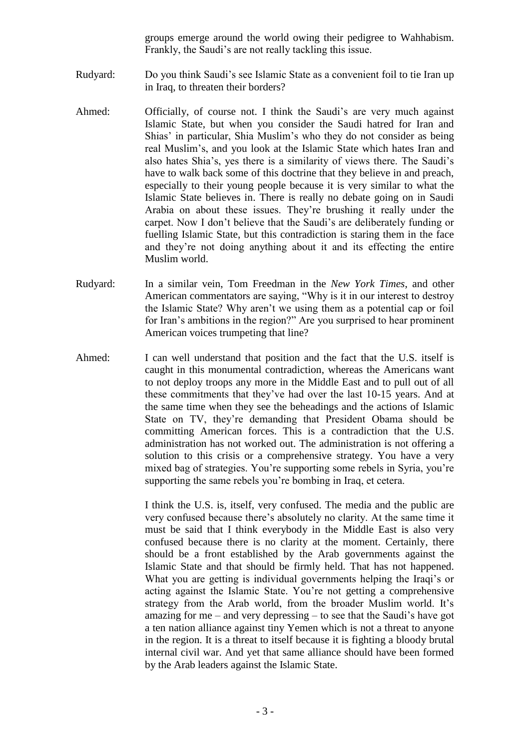groups emerge around the world owing their pedigree to Wahhabism. Frankly, the Saudi's are not really tackling this issue.

- Rudyard: Do you think Saudi's see Islamic State as a convenient foil to tie Iran up in Iraq, to threaten their borders?
- Ahmed: Officially, of course not. I think the Saudi's are very much against Islamic State, but when you consider the Saudi hatred for Iran and Shias' in particular, Shia Muslim's who they do not consider as being real Muslim's, and you look at the Islamic State which hates Iran and also hates Shia's, yes there is a similarity of views there. The Saudi's have to walk back some of this doctrine that they believe in and preach, especially to their young people because it is very similar to what the Islamic State believes in. There is really no debate going on in Saudi Arabia on about these issues. They're brushing it really under the carpet. Now I don't believe that the Saudi's are deliberately funding or fuelling Islamic State, but this contradiction is staring them in the face and they're not doing anything about it and its effecting the entire Muslim world.
- Rudyard: In a similar vein, Tom Freedman in the *New York Times*, and other American commentators are saying, "Why is it in our interest to destroy the Islamic State? Why aren't we using them as a potential cap or foil for Iran's ambitions in the region?" Are you surprised to hear prominent American voices trumpeting that line?
- Ahmed: I can well understand that position and the fact that the U.S. itself is caught in this monumental contradiction, whereas the Americans want to not deploy troops any more in the Middle East and to pull out of all these commitments that they've had over the last 10-15 years. And at the same time when they see the beheadings and the actions of Islamic State on TV, they're demanding that President Obama should be committing American forces. This is a contradiction that the U.S. administration has not worked out. The administration is not offering a solution to this crisis or a comprehensive strategy. You have a very mixed bag of strategies. You're supporting some rebels in Syria, you're supporting the same rebels you're bombing in Iraq, et cetera.

I think the U.S. is, itself, very confused. The media and the public are very confused because there's absolutely no clarity. At the same time it must be said that I think everybody in the Middle East is also very confused because there is no clarity at the moment. Certainly, there should be a front established by the Arab governments against the Islamic State and that should be firmly held. That has not happened. What you are getting is individual governments helping the Iraqi's or acting against the Islamic State. You're not getting a comprehensive strategy from the Arab world, from the broader Muslim world. It's amazing for me – and very depressing – to see that the Saudi's have got a ten nation alliance against tiny Yemen which is not a threat to anyone in the region. It is a threat to itself because it is fighting a bloody brutal internal civil war. And yet that same alliance should have been formed by the Arab leaders against the Islamic State.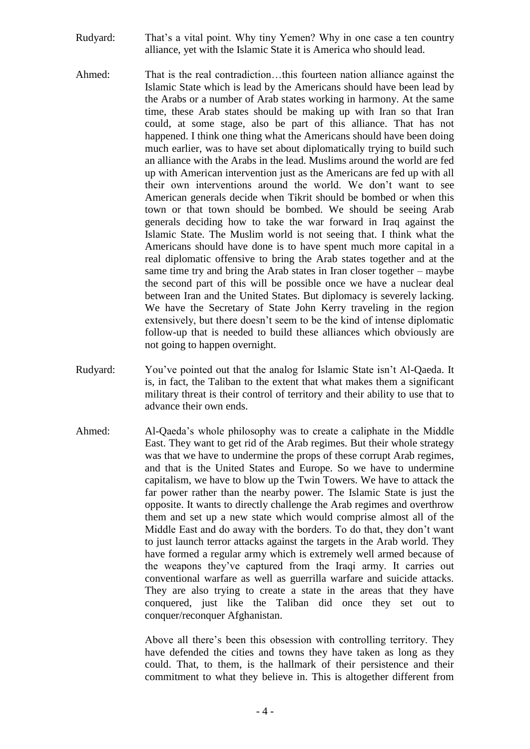- Rudyard: That's a vital point. Why tiny Yemen? Why in one case a ten country alliance, yet with the Islamic State it is America who should lead.
- Ahmed: That is the real contradiction…this fourteen nation alliance against the Islamic State which is lead by the Americans should have been lead by the Arabs or a number of Arab states working in harmony. At the same time, these Arab states should be making up with Iran so that Iran could, at some stage, also be part of this alliance. That has not happened. I think one thing what the Americans should have been doing much earlier, was to have set about diplomatically trying to build such an alliance with the Arabs in the lead. Muslims around the world are fed up with American intervention just as the Americans are fed up with all their own interventions around the world. We don't want to see American generals decide when Tikrit should be bombed or when this town or that town should be bombed. We should be seeing Arab generals deciding how to take the war forward in Iraq against the Islamic State. The Muslim world is not seeing that. I think what the Americans should have done is to have spent much more capital in a real diplomatic offensive to bring the Arab states together and at the same time try and bring the Arab states in Iran closer together – maybe the second part of this will be possible once we have a nuclear deal between Iran and the United States. But diplomacy is severely lacking. We have the Secretary of State John Kerry traveling in the region extensively, but there doesn't seem to be the kind of intense diplomatic follow-up that is needed to build these alliances which obviously are not going to happen overnight.
- Rudyard: You've pointed out that the analog for Islamic State isn't Al-Qaeda. It is, in fact, the Taliban to the extent that what makes them a significant military threat is their control of territory and their ability to use that to advance their own ends.
- Ahmed: Al-Qaeda's whole philosophy was to create a caliphate in the Middle East. They want to get rid of the Arab regimes. But their whole strategy was that we have to undermine the props of these corrupt Arab regimes, and that is the United States and Europe. So we have to undermine capitalism, we have to blow up the Twin Towers. We have to attack the far power rather than the nearby power. The Islamic State is just the opposite. It wants to directly challenge the Arab regimes and overthrow them and set up a new state which would comprise almost all of the Middle East and do away with the borders. To do that, they don't want to just launch terror attacks against the targets in the Arab world. They have formed a regular army which is extremely well armed because of the weapons they've captured from the Iraqi army. It carries out conventional warfare as well as guerrilla warfare and suicide attacks. They are also trying to create a state in the areas that they have conquered, just like the Taliban did once they set out to conquer/reconquer Afghanistan.

Above all there's been this obsession with controlling territory. They have defended the cities and towns they have taken as long as they could. That, to them, is the hallmark of their persistence and their commitment to what they believe in. This is altogether different from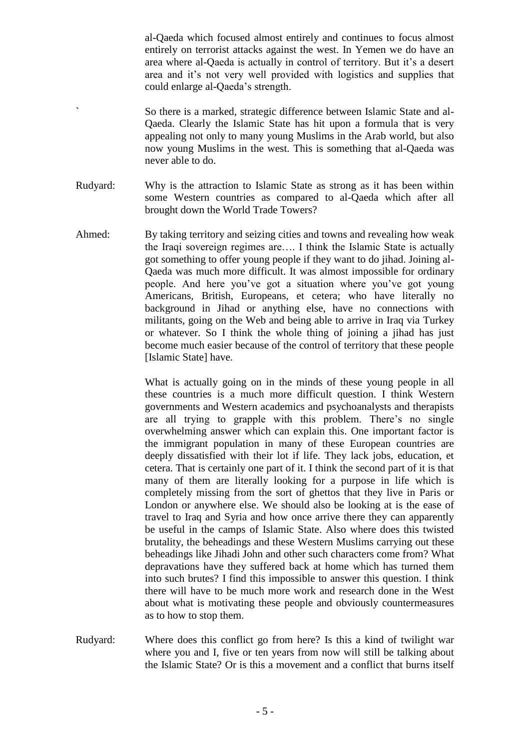al-Qaeda which focused almost entirely and continues to focus almost entirely on terrorist attacks against the west. In Yemen we do have an area where al-Qaeda is actually in control of territory. But it's a desert area and it's not very well provided with logistics and supplies that could enlarge al-Qaeda's strength.

So there is a marked, strategic difference between Islamic State and al-Qaeda. Clearly the Islamic State has hit upon a formula that is very appealing not only to many young Muslims in the Arab world, but also now young Muslims in the west. This is something that al-Qaeda was never able to do.

- Rudyard: Why is the attraction to Islamic State as strong as it has been within some Western countries as compared to al-Qaeda which after all brought down the World Trade Towers?
- Ahmed: By taking territory and seizing cities and towns and revealing how weak the Iraqi sovereign regimes are…. I think the Islamic State is actually got something to offer young people if they want to do jihad. Joining al-Qaeda was much more difficult. It was almost impossible for ordinary people. And here you've got a situation where you've got young Americans, British, Europeans, et cetera; who have literally no background in Jihad or anything else, have no connections with militants, going on the Web and being able to arrive in Iraq via Turkey or whatever. So I think the whole thing of joining a jihad has just become much easier because of the control of territory that these people [Islamic State] have.

What is actually going on in the minds of these young people in all these countries is a much more difficult question. I think Western governments and Western academics and psychoanalysts and therapists are all trying to grapple with this problem. There's no single overwhelming answer which can explain this. One important factor is the immigrant population in many of these European countries are deeply dissatisfied with their lot if life. They lack jobs, education, et cetera. That is certainly one part of it. I think the second part of it is that many of them are literally looking for a purpose in life which is completely missing from the sort of ghettos that they live in Paris or London or anywhere else. We should also be looking at is the ease of travel to Iraq and Syria and how once arrive there they can apparently be useful in the camps of Islamic State. Also where does this twisted brutality, the beheadings and these Western Muslims carrying out these beheadings like Jihadi John and other such characters come from? What depravations have they suffered back at home which has turned them into such brutes? I find this impossible to answer this question. I think there will have to be much more work and research done in the West about what is motivating these people and obviously countermeasures as to how to stop them.

Rudyard: Where does this conflict go from here? Is this a kind of twilight war where you and I, five or ten years from now will still be talking about the Islamic State? Or is this a movement and a conflict that burns itself